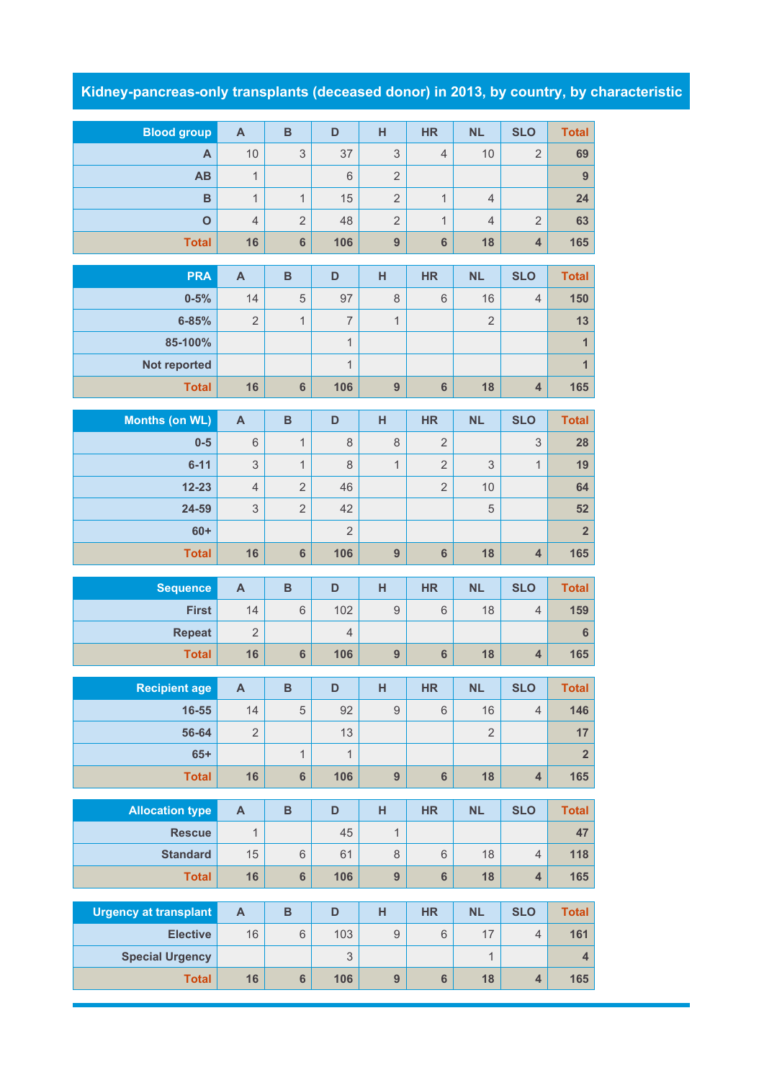## **Kidney-pancreas-only transplants (deceased donor) in 2013, by country, by characteristic**

| <b>Blood group</b>              | $\boldsymbol{\mathsf{A}}$ | $\, {\bf B}$            | D                         | H                | <b>HR</b>      | <b>NL</b>      | <b>SLO</b>              | <b>Total</b>            |
|---------------------------------|---------------------------|-------------------------|---------------------------|------------------|----------------|----------------|-------------------------|-------------------------|
| A                               | 10                        | 3                       | 37                        | $\mathsf 3$      | $\overline{4}$ | 10             | $\overline{2}$          | 69                      |
| AB                              | $\mathbf{1}$              |                         | $6\,$                     | $\overline{2}$   |                |                |                         | $\overline{9}$          |
| B                               | $\mathbf{1}$              | $\mathbf{1}$            | 15                        | $\overline{2}$   | $\mathbf{1}$   | $\overline{4}$ |                         | 24                      |
| $\overline{O}$                  | $\overline{4}$            | $\overline{2}$          | 48                        | $\overline{2}$   | $\mathbf{1}$   | 4              | $\overline{2}$          | 63                      |
| <b>Total</b>                    | 16                        | $6\phantom{1}$          | 106                       | 9                | $6\phantom{1}$ | 18             | $\overline{\mathbf{4}}$ | 165                     |
| <b>PRA</b>                      | $\mathsf{A}$              | $\mathbf B$             | D                         | H                | <b>HR</b>      | <b>NL</b>      | <b>SLO</b>              | <b>Total</b>            |
| $0 - 5%$                        | 14                        | 5                       | 97                        | 8                | 6              | 16             | 4                       | 150                     |
| $6 - 85%$                       | $\sqrt{2}$                | $\mathbf{1}$            | $\overline{7}$            | $\mathbf{1}$     |                | $\sqrt{2}$     |                         | 13                      |
| 85-100%                         |                           |                         | $\mathbf{1}$              |                  |                |                |                         | $\overline{1}$          |
| Not reported                    |                           |                         | $\mathbf{1}$              |                  |                |                |                         | $\overline{1}$          |
| <b>Total</b>                    | 16                        | $6\phantom{a}$          | 106                       | $\overline{9}$   | $6\phantom{a}$ | 18             | $\overline{\mathbf{4}}$ | 165                     |
| <b>Months (on WL)</b>           | $\mathbf{A}$              | $\, {\bf B}$            | D                         | H                | <b>HR</b>      | <b>NL</b>      | <b>SLO</b>              | <b>Total</b>            |
| $0-5$                           | 6                         | $\mathbf{1}$            | 8                         | 8                | $\overline{2}$ |                | 3                       | 28                      |
| $6 - 11$                        | 3                         | $\mathbf{1}$            | 8                         | $\mathbf{1}$     | $\overline{2}$ | 3              | $\mathbf{1}$            | 19                      |
| $12 - 23$                       | $\overline{4}$            | $\overline{2}$          | 46                        |                  | $\overline{2}$ | 10             |                         | 64                      |
| 24-59                           | $\ensuremath{\mathsf{3}}$ | $\overline{2}$          | 42                        |                  |                | $\mathbf 5$    |                         | 52                      |
| $60+$                           |                           |                         | $\overline{2}$            |                  |                |                |                         | $\overline{2}$          |
|                                 |                           |                         |                           |                  |                |                |                         |                         |
| <b>Total</b>                    | 16                        | $6\phantom{1}$          | 106                       | 9                | $6\phantom{a}$ | 18             | $\overline{\mathbf{4}}$ | 165                     |
|                                 | $\mathbf{A}$              | $\overline{B}$          | D                         | H                | <b>HR</b>      | <b>NL</b>      | <b>SLO</b>              |                         |
| <b>Sequence</b><br><b>First</b> | 14                        | 6                       | 102                       | $\boldsymbol{9}$ | $6\,$          | 18             | $\overline{4}$          | <b>Total</b><br>159     |
| <b>Repeat</b>                   | $\overline{2}$            |                         | $\overline{4}$            |                  |                |                |                         | $6\phantom{1}$          |
| <b>Total</b>                    | 16                        | $6\phantom{a}$          | 106                       | $\overline{9}$   | $6\phantom{a}$ | 18             | $\overline{4}$          | 165                     |
|                                 |                           |                         |                           |                  |                |                |                         |                         |
| <b>Recipient age</b>            | $\overline{\mathsf{A}}$   | <sub>B</sub>            | D                         | H                | <b>HR</b>      | <b>NL</b>      | <b>SLO</b>              | <b>Total</b>            |
| 16-55                           | 14                        | 5                       | 92                        | $\overline{9}$   | 6              | 16             | $\overline{4}$          | 146                     |
| 56-64                           | $\mathbf{2}$              |                         | 13                        |                  |                | $\overline{2}$ |                         | 17                      |
| $65+$                           |                           | $\mathbf{1}$            | $\mathbf{1}$              |                  |                |                |                         | $\overline{\mathbf{2}}$ |
| <b>Total</b>                    | 16                        | $6\phantom{a}$          | 106                       | 9                | $6\phantom{a}$ | 18             | $\overline{\mathbf{4}}$ | 165                     |
| <b>Allocation type</b>          | $\boldsymbol{\mathsf{A}}$ | $\overline{\mathbf{B}}$ | D                         | H                | <b>HR</b>      | <b>NL</b>      | <b>SLO</b>              | <b>Total</b>            |
| <b>Rescue</b>                   | $\mathbf{1}$              |                         | 45                        | $\mathbf{1}$     |                |                |                         | 47                      |
| <b>Standard</b>                 | 15                        | 6                       | 61                        | $\,8\,$          | 6              | 18             | $\overline{4}$          | 118                     |
| <b>Total</b>                    | 16                        | $6\phantom{a}$          | 106                       | 9                | $6\phantom{a}$ | 18             | $\overline{\mathbf{4}}$ | 165                     |
| <b>Urgency at transplant</b>    | $\boldsymbol{\mathsf{A}}$ | $\overline{B}$          | D                         | H                | <b>HR</b>      | <b>NL</b>      | <b>SLO</b>              | <b>Total</b>            |
| <b>Elective</b>                 | 16                        | $6\phantom{1}$          | 103                       | $\hbox{9}$       | 6              | 17             | $\overline{4}$          | 161                     |
| <b>Special Urgency</b>          |                           |                         | $\ensuremath{\mathsf{3}}$ |                  |                | 1              |                         | $\overline{\mathbf{4}}$ |